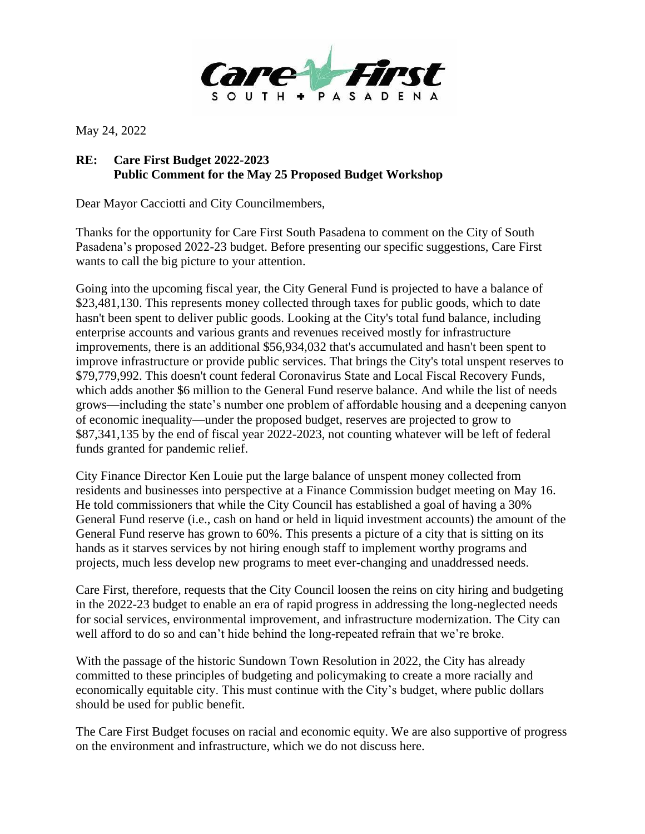

May 24, 2022

## **RE: Care First Budget 2022-2023 Public Comment for the May 25 Proposed Budget Workshop**

Dear Mayor Cacciotti and City Councilmembers,

Thanks for the opportunity for Care First South Pasadena to comment on the City of South Pasadena's proposed 2022-23 budget. Before presenting our specific suggestions, Care First wants to call the big picture to your attention.

Going into the upcoming fiscal year, the City General Fund is projected to have a balance of \$23,481,130. This represents money collected through taxes for public goods, which to date hasn't been spent to deliver public goods. Looking at the City's total fund balance, including enterprise accounts and various grants and revenues received mostly for infrastructure improvements, there is an additional \$56,934,032 that's accumulated and hasn't been spent to improve infrastructure or provide public services. That brings the City's total unspent reserves to \$79,779,992. This doesn't count federal Coronavirus State and Local Fiscal Recovery Funds, which adds another \$6 million to the General Fund reserve balance. And while the list of needs grows—including the state's number one problem of affordable housing and a deepening canyon of economic inequality—under the proposed budget, reserves are projected to grow to \$87,341,135 by the end of fiscal year 2022-2023, not counting whatever will be left of federal funds granted for pandemic relief.

City Finance Director Ken Louie put the large balance of unspent money collected from residents and businesses into perspective at a Finance Commission budget meeting on May 16. He told commissioners that while the City Council has established a goal of having a 30% General Fund reserve (i.e., cash on hand or held in liquid investment accounts) the amount of the General Fund reserve has grown to 60%. This presents a picture of a city that is sitting on its hands as it starves services by not hiring enough staff to implement worthy programs and projects, much less develop new programs to meet ever-changing and unaddressed needs.

Care First, therefore, requests that the City Council loosen the reins on city hiring and budgeting in the 2022-23 budget to enable an era of rapid progress in addressing the long-neglected needs for social services, environmental improvement, and infrastructure modernization. The City can well afford to do so and can't hide behind the long-repeated refrain that we're broke.

With the passage of the historic Sundown Town Resolution in 2022, the City has already committed to these principles of budgeting and policymaking to create a more racially and economically equitable city. This must continue with the City's budget, where public dollars should be used for public benefit.

The Care First Budget focuses on racial and economic equity. We are also supportive of progress on the environment and infrastructure, which we do not discuss here.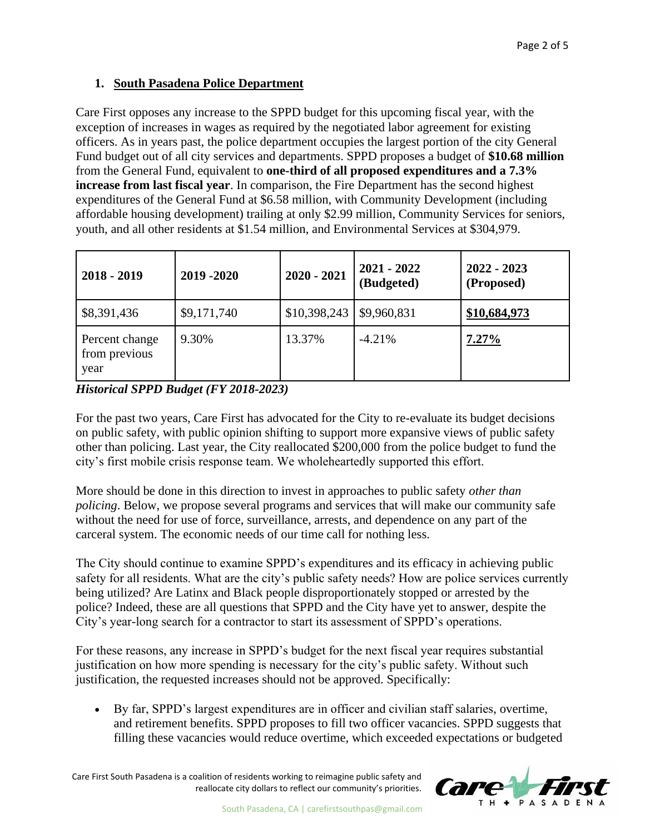## **1. South Pasadena Police Department**

Care First opposes any increase to the SPPD budget for this upcoming fiscal year, with the exception of increases in wages as required by the negotiated labor agreement for existing officers. As in years past, the police department occupies the largest portion of the city General Fund budget out of all city services and departments. SPPD proposes a budget of **\$10.68 million** from the General Fund, equivalent to **one-third of all proposed expenditures and a 7.3% increase from last fiscal year**. In comparison, the Fire Department has the second highest expenditures of the General Fund at \$6.58 million, with Community Development (including affordable housing development) trailing at only \$2.99 million, Community Services for seniors, youth, and all other residents at \$1.54 million, and Environmental Services at \$304,979.

| $2018 - 2019$                           | 2019 - 2020 | $2020 - 2021$ | $2021 - 2022$<br>(Budgeted) | $2022 - 2023$<br>(Proposed) |
|-----------------------------------------|-------------|---------------|-----------------------------|-----------------------------|
| \$8,391,436                             | \$9,171,740 | \$10,398,243  | \$9,960,831                 | \$10,684,973                |
| Percent change<br>from previous<br>year | 9.30%       | 13.37%        | $-4.21%$                    | $7.27\%$                    |

*Historical SPPD Budget (FY 2018-2023)*

For the past two years, Care First has advocated for the City to re-evaluate its budget decisions on public safety, with public opinion shifting to support more expansive views of public safety other than policing. Last year, the City reallocated \$200,000 from the police budget to fund the city's first mobile crisis response team. We wholeheartedly supported this effort.

More should be done in this direction to invest in approaches to public safety *other than policing*. Below, we propose several programs and services that will make our community safe without the need for use of force, surveillance, arrests, and dependence on any part of the carceral system. The economic needs of our time call for nothing less.

The City should continue to examine SPPD's expenditures and its efficacy in achieving public safety for all residents. What are the city's public safety needs? How are police services currently being utilized? Are Latinx and Black people disproportionately stopped or arrested by the police? Indeed, these are all questions that SPPD and the City have yet to answer, despite the City's year-long search for a contractor to start its assessment of SPPD's operations.

For these reasons, any increase in SPPD's budget for the next fiscal year requires substantial justification on how more spending is necessary for the city's public safety. Without such justification, the requested increases should not be approved. Specifically:

• By far, SPPD's largest expenditures are in officer and civilian staff salaries, overtime, and retirement benefits. SPPD proposes to fill two officer vacancies. SPPD suggests that filling these vacancies would reduce overtime, which exceeded expectations or budgeted

 Care First South Pasadena is a coalition of residents working to reimagine public safety and reallocate city dollars to reflect our community's priorities.

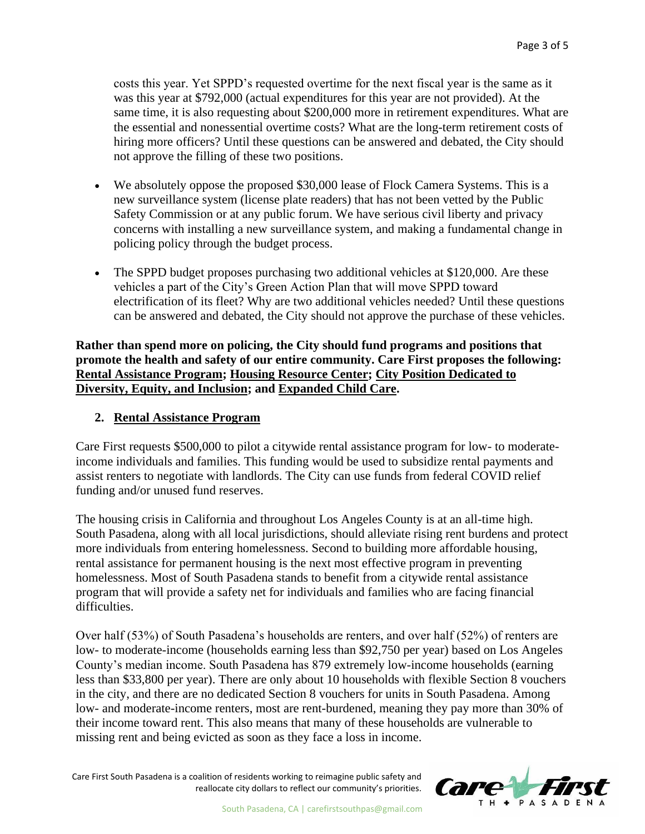costs this year. Yet SPPD's requested overtime for the next fiscal year is the same as it was this year at \$792,000 (actual expenditures for this year are not provided). At the same time, it is also requesting about \$200,000 more in retirement expenditures. What are the essential and nonessential overtime costs? What are the long-term retirement costs of hiring more officers? Until these questions can be answered and debated, the City should not approve the filling of these two positions.

- We absolutely oppose the proposed \$30,000 lease of Flock Camera Systems. This is a new surveillance system (license plate readers) that has not been vetted by the Public Safety Commission or at any public forum. We have serious civil liberty and privacy concerns with installing a new surveillance system, and making a fundamental change in policing policy through the budget process.
- The SPPD budget proposes purchasing two additional vehicles at \$120,000. Are these vehicles a part of the City's Green Action Plan that will move SPPD toward electrification of its fleet? Why are two additional vehicles needed? Until these questions can be answered and debated, the City should not approve the purchase of these vehicles.

**Rather than spend more on policing, the City should fund programs and positions that promote the health and safety of our entire community. Care First proposes the following: Rental Assistance Program; Housing Resource Center; City Position Dedicated to Diversity, Equity, and Inclusion; and Expanded Child Care.**

### **2. Rental Assistance Program**

Care First requests \$500,000 to pilot a citywide rental assistance program for low- to moderateincome individuals and families. This funding would be used to subsidize rental payments and assist renters to negotiate with landlords. The City can use funds from federal COVID relief funding and/or unused fund reserves.

The housing crisis in California and throughout Los Angeles County is at an all-time high. South Pasadena, along with all local jurisdictions, should alleviate rising rent burdens and protect more individuals from entering homelessness. Second to building more affordable housing, rental assistance for permanent housing is the next most effective program in preventing homelessness. Most of South Pasadena stands to benefit from a citywide rental assistance program that will provide a safety net for individuals and families who are facing financial difficulties.

Over half (53%) of South Pasadena's households are renters, and over half (52%) of renters are low- to moderate-income (households earning less than \$92,750 per year) based on Los Angeles County's median income. South Pasadena has 879 extremely low-income households (earning less than \$33,800 per year). There are only about 10 households with flexible Section 8 vouchers in the city, and there are no dedicated Section 8 vouchers for units in South Pasadena. Among low- and moderate-income renters, most are rent-burdened, meaning they pay more than 30% of their income toward rent. This also means that many of these households are vulnerable to missing rent and being evicted as soon as they face a loss in income.

 Care First South Pasadena is a coalition of residents working to reimagine public safety and reallocate city dollars to reflect our community's priorities.

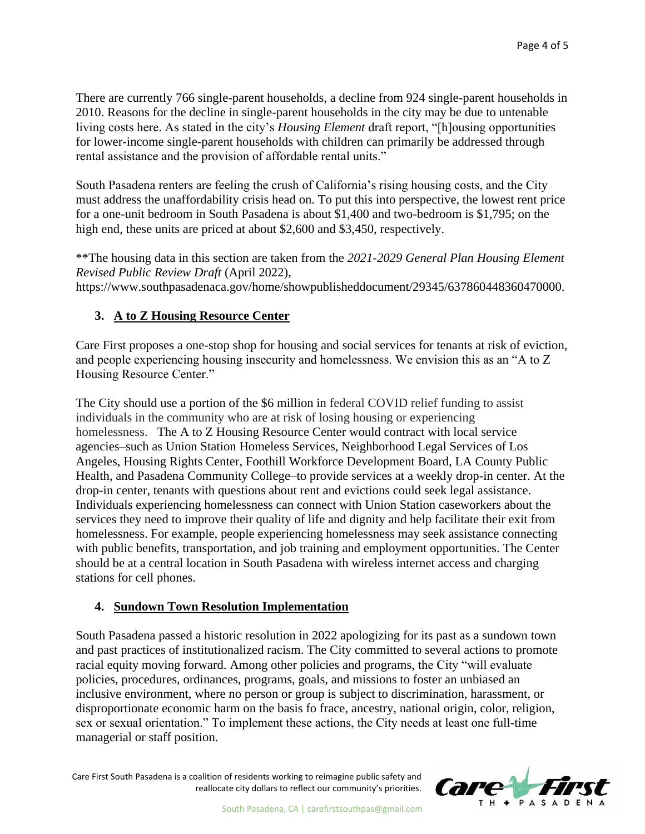There are currently 766 single-parent households, a decline from 924 single-parent households in 2010. Reasons for the decline in single-parent households in the city may be due to untenable living costs here. As stated in the city's *Housing Element* draft report, "[h]ousing opportunities for lower-income single-parent households with children can primarily be addressed through rental assistance and the provision of affordable rental units."

South Pasadena renters are feeling the crush of California's rising housing costs, and the City must address the unaffordability crisis head on. To put this into perspective, the lowest rent price for a one-unit bedroom in South Pasadena is about \$1,400 and two-bedroom is \$1,795; on the high end, these units are priced at about \$2,600 and \$3,450, respectively.

\*\*The housing data in this section are taken from the *2021-2029 General Plan Housing Element Revised Public Review Draft* (April 2022), https://www.southpasadenaca.gov/home/showpublisheddocument/29345/637860448360470000.

# **3. A to Z Housing Resource Center**

Care First proposes a one-stop shop for housing and social services for tenants at risk of eviction, and people experiencing housing insecurity and homelessness. We envision this as an "A to Z Housing Resource Center."

The City should use a portion of the \$6 million in federal COVID relief funding to assist individuals in the community who are at risk of losing housing or experiencing homelessness. The A to Z Housing Resource Center would contract with local service agencies–such as Union Station Homeless Services, Neighborhood Legal Services of Los Angeles, Housing Rights Center, Foothill Workforce Development Board, LA County Public Health, and Pasadena Community College–to provide services at a weekly drop-in center. At the drop-in center, tenants with questions about rent and evictions could seek legal assistance. Individuals experiencing homelessness can connect with Union Station caseworkers about the services they need to improve their quality of life and dignity and help facilitate their exit from homelessness. For example, people experiencing homelessness may seek assistance connecting with public benefits, transportation, and job training and employment opportunities. The Center should be at a central location in South Pasadena with wireless internet access and charging stations for cell phones.

### **4. Sundown Town Resolution Implementation**

South Pasadena passed a historic resolution in 2022 apologizing for its past as a sundown town and past practices of institutionalized racism. The City committed to several actions to promote racial equity moving forward. Among other policies and programs, the City "will evaluate policies, procedures, ordinances, programs, goals, and missions to foster an unbiased an inclusive environment, where no person or group is subject to discrimination, harassment, or disproportionate economic harm on the basis fo frace, ancestry, national origin, color, religion, sex or sexual orientation." To implement these actions, the City needs at least one full-time managerial or staff position.

 Care First South Pasadena is a coalition of residents working to reimagine public safety and reallocate city dollars to reflect our community's priorities.